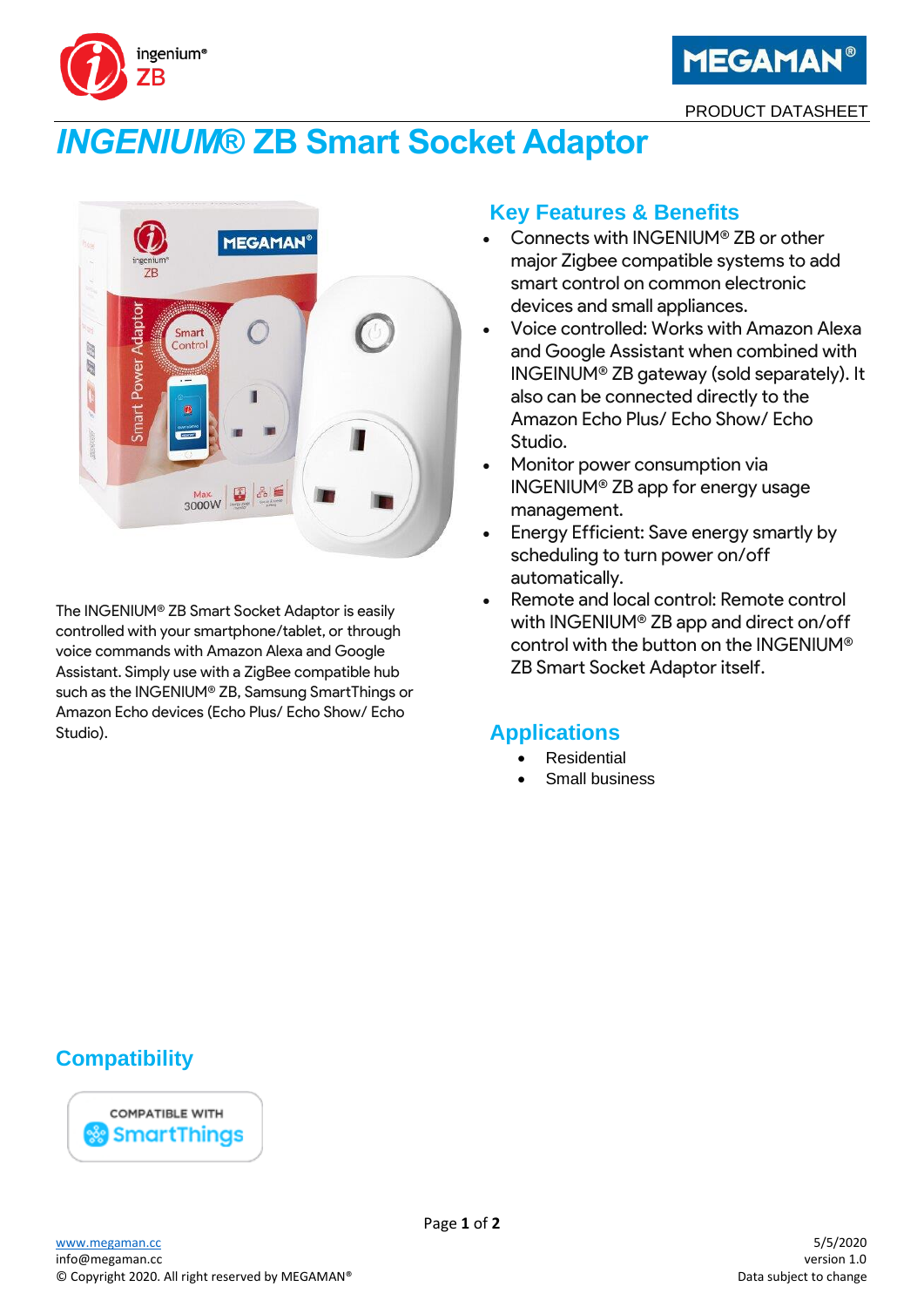



PRODUCT DATASHEET

# *INGENIUM***® ZB Smart Socket Adaptor**



The INGENIUM® ZB Smart Socket Adaptor is easily controlled with your smartphone/tablet, or through voice commands with Amazon Alexa and Google Assistant. Simply use with a ZigBee compatible hub such as the INGENIUM® ZB, Samsung SmartThings or Amazon Echo devices (Echo Plus/ Echo Show/ Echo Studio).

# **Key Features & Benefits**

- Connects with INGENIUM® ZB or other major Zigbee compatible systems to add smart control on common electronic devices and small appliances.
- Voice controlled: Works with Amazon Alexa and Google Assistant when combined with INGEINUM® ZB gateway (sold separately). It also can be connected directly to the Amazon Echo Plus/ Echo Show/ Echo Studio.
- Monitor power consumption via INGENIUM® ZB app for energy usage management.
- Energy Efficient: Save energy smartly by scheduling to turn power on/off automatically.
- Remote and local control: Remote control with INGENIUM® ZB app and direct on/off control with the button on the INGENIUM® ZB Smart Socket Adaptor itself.

# **Applications**

- **Residential**
- Small business

# **Compatibility**